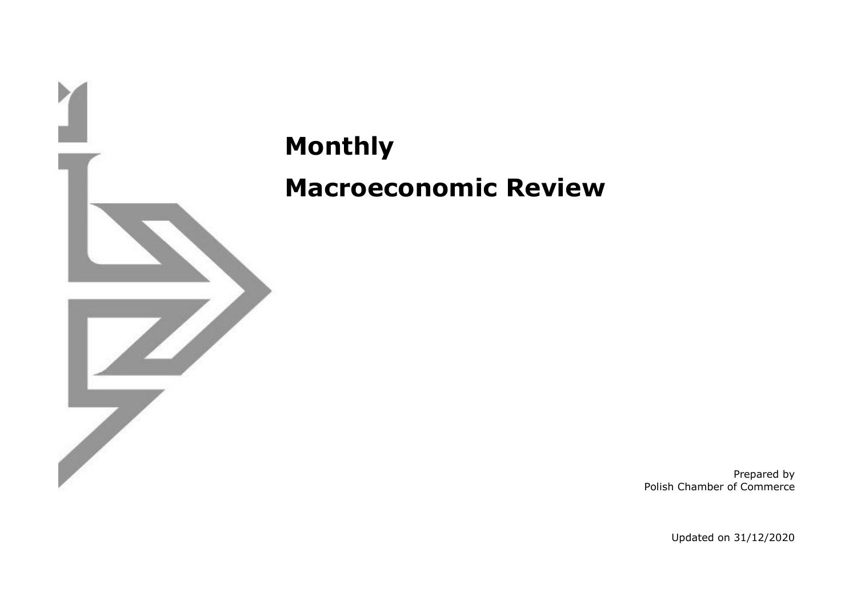

**Monthly Macroeconomic Review**

> Prepared by Polish Chamber of Commerce

> > Updated on 31/12/2020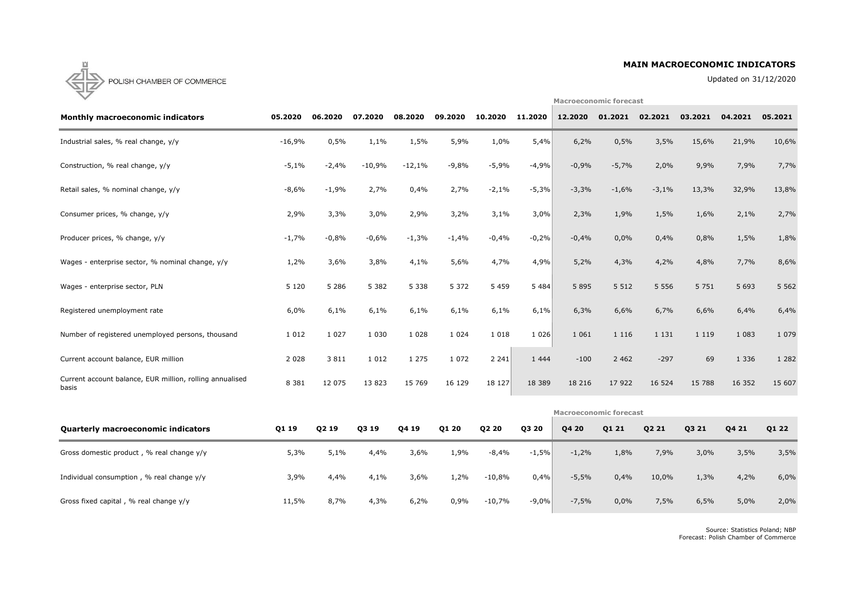### **MAIN MACROECONOMIC INDICATORS**

Updated on 31/12/2020

**Macroeconomic forecast**



| <b>Monthly macroeconomic indicators</b>                           | 05.2020  | 06.2020 | 07.2020  | 08.2020  | 09.2020 | 10.2020 | 11.2020  | 12.2020                       | 01.2021 | 02.2021 | 03.2021 | 04.2021 | 05.2021 |
|-------------------------------------------------------------------|----------|---------|----------|----------|---------|---------|----------|-------------------------------|---------|---------|---------|---------|---------|
| Industrial sales, % real change, y/y                              | $-16,9%$ | 0,5%    | 1,1%     | 1,5%     | 5,9%    | 1,0%    | 5,4%     | 6,2%                          | 0,5%    | 3,5%    | 15,6%   | 21,9%   | 10,6%   |
| Construction, % real change, y/y                                  | $-5,1%$  | $-2,4%$ | $-10,9%$ | $-12,1%$ | $-9,8%$ | $-5,9%$ | $-4,9%$  | $-0,9%$                       | $-5,7%$ | 2,0%    | 9,9%    | 7,9%    | 7,7%    |
| Retail sales, % nominal change, y/y                               | $-8,6%$  | $-1,9%$ | 2,7%     | 0,4%     | 2,7%    | $-2,1%$ | $-5,3%$  | $-3,3%$                       | $-1,6%$ | $-3,1%$ | 13,3%   | 32,9%   | 13,8%   |
| Consumer prices, % change, y/y                                    | 2,9%     | 3,3%    | 3,0%     | 2,9%     | 3,2%    | 3,1%    | 3,0%     | 2,3%                          | 1,9%    | 1,5%    | 1,6%    | 2,1%    | 2,7%    |
| Producer prices, % change, y/y                                    | $-1,7%$  | $-0,8%$ | $-0,6%$  | $-1,3%$  | $-1,4%$ | $-0,4%$ | $-0,2%$  | $-0,4%$                       | 0,0%    | 0,4%    | 0,8%    | 1,5%    | 1,8%    |
| Wages - enterprise sector, % nominal change, y/y                  | 1,2%     | 3,6%    | 3,8%     | 4,1%     | 5,6%    | 4,7%    | 4,9%     | 5,2%                          | 4,3%    | 4,2%    | 4,8%    | 7,7%    | 8,6%    |
| Wages - enterprise sector, PLN                                    | 5 1 2 0  | 5 2 8 6 | 5 3 8 2  | 5 3 3 8  | 5 3 7 2 | 5 4 5 9 | 5484     | 5 8 9 5                       | 5 5 1 2 | 5 5 5 6 | 5 7 5 1 | 5 6 9 3 | 5 5 6 2 |
| Registered unemployment rate                                      | 6,0%     | 6,1%    | 6,1%     | 6,1%     | 6,1%    | 6,1%    | 6,1%     | 6,3%                          | 6,6%    | 6,7%    | 6,6%    | 6,4%    | 6,4%    |
| Number of registered unemployed persons, thousand                 | 1 0 1 2  | 1 0 2 7 | 1 0 3 0  | 1 0 2 8  | 1 0 2 4 | 1 0 1 8 | 1026     | 1 0 6 1                       | 1 1 1 6 | 1 1 3 1 | 1 1 1 9 | 1 0 8 3 | 1 0 7 9 |
| Current account balance, EUR million                              | 2 0 2 8  | 3 8 1 1 | 1 0 1 2  | 1 2 7 5  | 1 0 7 2 | 2 2 4 1 | 1 4 4 4  | $-100$                        | 2 4 6 2 | $-297$  | 69      | 1 3 3 6 | 1 2 8 2 |
| Current account balance, EUR million, rolling annualised<br>basis | 8 3 8 1  | 12 075  | 13823    | 15 769   | 16 129  | 18 127  | 18 3 8 9 | 18 216                        | 17 922  | 16 5 24 | 15 788  | 16 352  | 15 607  |
|                                                                   |          |         |          |          |         |         |          | <b>Macroeconomic forecast</b> |         |         |         |         |         |

| <b>Quarterly macroeconomic indicators</b> | Q1 19 | Q2 19 | Q3 19 | Q4 19 | Q1 20 | Q2 20    | Q3 20    | Q4 20   | Q1 21 | Q2 21 | Q3 21 | Q4 21 | Q1 22 |
|-------------------------------------------|-------|-------|-------|-------|-------|----------|----------|---------|-------|-------|-------|-------|-------|
| Gross domestic product, % real change y/y | 5,3%  | 5,1%  | 4,4%  | 3,6%  | 1,9%  | $-8,4%$  | $-1,5%$  | $-1,2%$ | 1,8%  | 7,9%  | 3,0%  | 3,5%  | 3,5%  |
| Individual consumption, % real change y/y | 3,9%  | 4,4%  | 4,1%  | 3,6%  | 1,2%  | $-10,8%$ | 0,4%     | $-5,5%$ | 0,4%  | 10,0% | 1,3%  | 4,2%  | 6,0%  |
| Gross fixed capital, % real change y/y    | 11,5% | 8,7%  | 4,3%  | 6,2%  | 0,9%  | $-10,7%$ | $-9,0\%$ | $-7,5%$ | 0,0%  | 7,5%  | 6,5%  | 5,0%  | 2,0%  |

Source: Statistics Poland; NBP Forecast: Polish Chamber of Commerce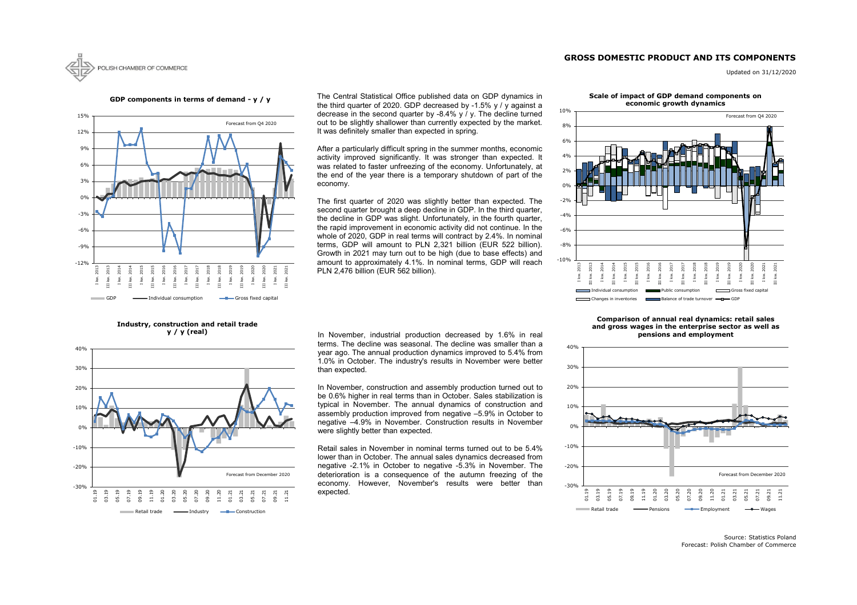# **GROSS DOMESTIC PRODUCT AND ITS COMPONENTS**



Updated on 31/12/2020

Source: Statistics Poland Forecast: Polish Chamber of Commerce



**GDP components in terms of demand - y / y**

**Industry, construction and retail trade y / y (real)**



The Central Statistical Office published data on GDP dynamics in the third quarter of 2020. GDP decreased by -1.5% y / y against a decrease in the second quarter by -8.4% y / y. The decline turned out to be slightly shallower than currently expected by the market. It was definitely smaller than expected in spring.



#### **Scale of impact of GDP demand components on economic growth dynamics**



#### **Comparison of annual real dynamics: retail sales and gross wages in the enterprise sector as well as pensions and employment**

In November, industrial production decreased by 1.6% in real terms. The decline was seasonal. The decline was smaller than a year ago. The annual production dynamics improved to 5.4% from 1.0% in October. The industry's results in November were better than expected.

In November, construction and assembly production turned out to be 0.6% higher in real terms than in October. Sales stabilization is typical in November. The annual dynamics of construction and assembly production improved from negative –5.9% in October to negative –4.9% in November. Construction results in November were slightly better than expected.

After a particularly difficult spring in the summer months, economic activity improved significantly. It was stronger than expected. It was related to faster unfreezing of the economy. Unfortunately, at the end of the year there is a temporary shutdown of part of the economy.

The first quarter of 2020 was slightly better than expected. The second quarter brought a deep decline in GDP. In the third quarter, the decline in GDP was slight. Unfortunately, in the fourth quarter, the rapid improvement in economic activity did not continue. In the whole of 2020, GDP in real terms will contract by 2.4%. In nominal terms, GDP will amount to PLN 2,321 billion (EUR 522 billion). Growth in 2021 may turn out to be high (due to base effects) and amount to approximately 4.1%. In nominal terms, GDP will reach PLN 2,476 billion (EUR 562 billion).



Retail sales in November in nominal terms turned out to be 5.4% lower than in October. The annual sales dynamics decreased from negative -2.1% in October to negative -5.3% in November. The deterioration is a consequence of the autumn freezing of the economy. However, November's results were better than expected.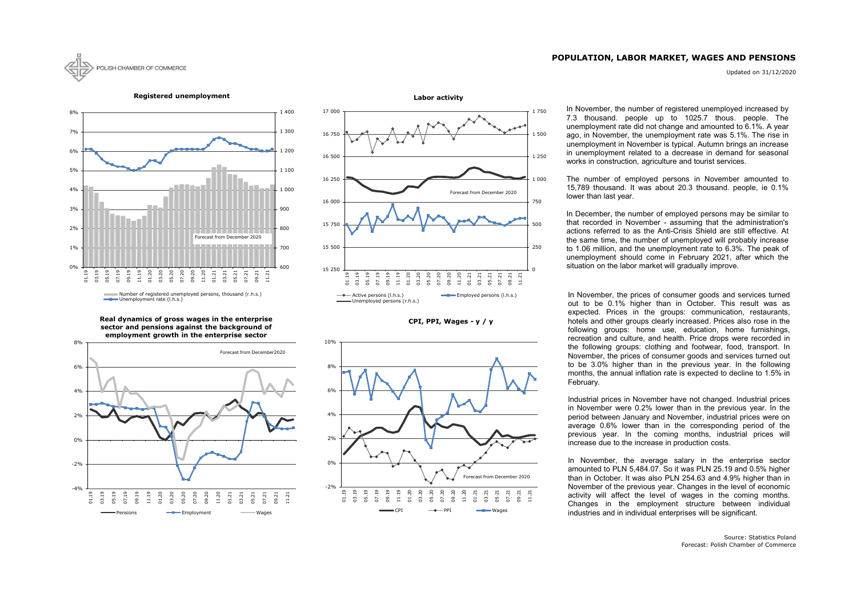## **POPULATION, LABOR MARKET, WAGES AND PENSIONS**

Updated on 31/12/2020



**CPI, PPI, Wages - y / y**





**Registered unemployment**





**Real dynamics of gross wages in the enterprise sector and pensions against the background of employment growth in the enterprise sector**

In November, the number of registered unemployed increased by 7.3 thousand. people up to 1025.7 thous. people. The unemployment rate did not change and amounted to 6.1%. A year ago, in November, the unemployment rate was 5.1%. The rise in unemployment in November is typical. Autumn brings an increase in unemployment related to a decrease in demand for seasonal works in construction, agriculture and tourist services.

In November, the prices of consumer goods and services turned out to be 0.1% higher than in October. This result was as expected. Prices in the groups: communication, restaurants, hotels and other groups clearly increased. Prices also rose in the following groups: home use, education, home furnishings, recreation and culture, and health. Price drops were recorded in the following groups: clothing and footwear, food, transport. In November, the prices of consumer goods and services turned out to be 3.0% higher than in the previous year. In the following months, the annual inflation rate is expected to decline to 1.5% in February.

Industrial prices in November have not changed. Industrial prices in November were 0.2% lower than in the previous year. In the period between January and November, industrial prices were on average 0.6% lower than in the corresponding period of the previous year. In the coming months, industrial prices will increase due to the increase in production costs.

In November, the average salary in the enterprise sector amounted to PLN 5,484.07. So it was PLN 25.19 and 0.5% higher than in October. It was also PLN 254.63 and 4.9% higher than in November of the previous year. Changes in the level of economic activity will affect the level of wages in the coming months. Changes in the employment structure between individual industries and in individual enterprises will be significant.

The number of employed persons in November amounted to 15,789 thousand. It was about 20.3 thousand. people, ie 0.1% lower than last year.

In December, the number of employed persons may be similar to that recorded in November - assuming that the administration's actions referred to as the Anti-Crisis Shield are still effective. At the same time, the number of unemployed will probably increase to 1.06 million, and the unemployment rate to 6.3%. The peak of unemployment should come in February 2021, after which the situation on the labor market will gradually improve.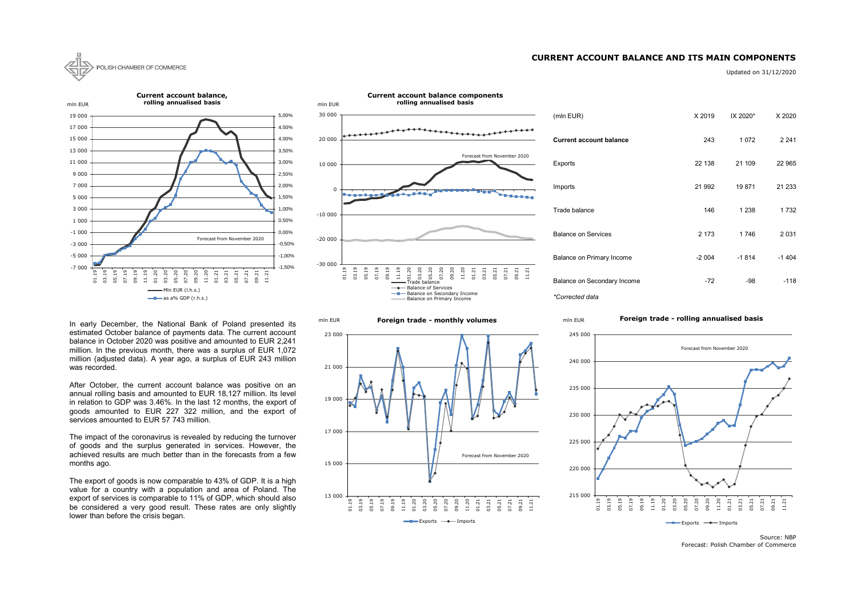### **CURRENT ACCOUNT BALANCE AND ITS MAIN COMPONENTS**



Updated on 31/12/2020

| (mln EUR)                      | X 2019  | IX 2020* | X 2020  |
|--------------------------------|---------|----------|---------|
| <b>Current account balance</b> | 243     | 1072     | 2 2 4 1 |
| Exports                        | 22 138  | 21 109   | 22 965  |
| Imports                        | 21 992  | 19871    | 21 233  |
| Trade balance                  | 146     | 1 2 3 8  | 1 7 3 2 |
| <b>Balance on Services</b>     | 2 1 7 3 | 1746     | 2 0 3 1 |
| Balance on Primary Income      | $-2004$ | $-1814$  | $-1404$ |
| Balance on Secondary Income    | -72     | -98      | -118    |

13 000

01.19

03.19 05.19 07.19 09.19 11.19 01.20 03.20 05.20 07.20 09.20  $1.20$ 01.21 03.21 05.21 07.21

 $\longrightarrow$  Exports  $\longrightarrow$  Imports

09.21 11.21





Source: NBP Forecast: Polish Chamber of Commerce

215 000

01.19 03.19 05.19 07.19

### **Foreign trade - rolling annualised basis**



In early December, the National Bank of Poland presented its estimated October balance of payments data. The current account balance in October 2020 was positive and amounted to EUR 2,241 million. In the previous month, there was a surplus of EUR 1,072 million (adjusted data). A year ago, a surplus of EUR 243 million was recorded.

After October, the current account balance was positive on an annual rolling basis and amounted to EUR 18,127 million. Its level in relation to GDP was 3.46%. In the last 12 months, the export of goods amounted to EUR 227 322 million, and the export of services amounted to EUR 57 743 million.

The impact of the coronavirus is revealed by reducing the turnover of goods and the surplus generated in services. However, the achieved results are much better than in the forecasts from a few months ago.

The export of goods is now comparable to 43% of GDP. It is a high value for a country with a population and area of Poland. The export of services is comparable to 11% of GDP, which should also be considered a very good result. These rates are only slightly lower than before the crisis began.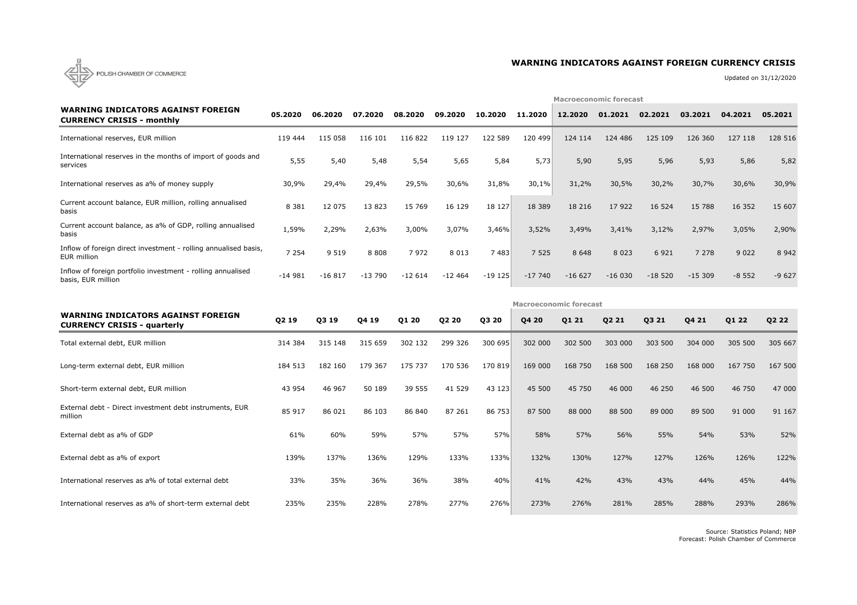

# **WARNING INDICATORS AGAINST FOREIGN CURRENCY CRISIS**

Updated on 31/12/2020

|                                                                                   |          |          |          |          |          | <b>Macroeconomic forecast</b> |                               |          |          |          |          |         |         |  |  |
|-----------------------------------------------------------------------------------|----------|----------|----------|----------|----------|-------------------------------|-------------------------------|----------|----------|----------|----------|---------|---------|--|--|
| <b>WARNING INDICATORS AGAINST FOREIGN</b><br><b>CURRENCY CRISIS - monthly</b>     | 05.2020  | 06.2020  | 07.2020  | 08.2020  | 09.2020  | 10.2020                       | 11.2020                       | 12.2020  | 01.2021  | 02.2021  | 03.2021  | 04.2021 | 05.2021 |  |  |
| International reserves, EUR million                                               | 119 444  | 115 058  | 116 101  | 116 822  | 119 127  | 122 589                       | 120 499                       | 124 114  | 124 486  | 125 109  | 126 360  | 127 118 | 128 516 |  |  |
| International reserves in the months of import of goods and<br>services           | 5,55     | 5,40     | 5,48     | 5,54     | 5,65     | 5,84                          | 5,73                          | 5,90     | 5,95     | 5,96     | 5,93     | 5,86    | 5,82    |  |  |
| International reserves as a% of money supply                                      | 30,9%    | 29,4%    | 29,4%    | 29,5%    | 30,6%    | 31,8%                         | 30,1%                         | 31,2%    | 30,5%    | 30,2%    | 30,7%    | 30,6%   | 30,9%   |  |  |
| Current account balance, EUR million, rolling annualised<br>basis                 | 8 3 8 1  | 12 075   | 13823    | 15 769   | 16 129   | 18 127                        | 18 3 8 9                      | 18 216   | 17 922   | 16 5 24  | 15 788   | 16 3 52 | 15 607  |  |  |
| Current account balance, as a% of GDP, rolling annualised<br>basis                | 1,59%    | 2,29%    | 2,63%    | 3,00%    | 3,07%    | 3,46%                         | 3,52%                         | 3,49%    | 3,41%    | 3,12%    | 2,97%    | 3,05%   | 2,90%   |  |  |
| Inflow of foreign direct investment - rolling annualised basis,<br>EUR million    | 7 2 5 4  | 9 5 1 9  | 8 8 0 8  | 7 9 7 2  | 8 0 1 3  | 7483                          | 7 5 2 5                       | 8 6 4 8  | 8 0 2 3  | 6 9 2 1  | 7 2 7 8  | 9 0 2 2 | 8 9 4 2 |  |  |
| Inflow of foreign portfolio investment - rolling annualised<br>basis, EUR million | $-14981$ | $-16817$ | $-13790$ | $-12614$ | $-12464$ | $-19125$                      | $-17740$                      | $-16627$ | $-16030$ | $-18520$ | $-15309$ | $-8552$ | $-9627$ |  |  |
|                                                                                   |          |          |          |          |          |                               | <b>Macroeconomic forecast</b> |          |          |          |          |         |         |  |  |
| <b>WARNING INDICATORS AGAINST FOREIGN</b><br><b>CURRENCY CRISIS - quarterly</b>   | Q2 19    | Q3 19    | Q4 19    | Q1 20    | Q2 20    | Q3 20                         | Q4 20                         | Q1 21    | Q2 21    | Q3 21    | Q4 21    | Q1 22   | Q2 22   |  |  |
| Total external debt, EUR million                                                  | 314 384  | 315 148  | 315 659  | 302 132  | 299 326  | 300 695                       | 302 000                       | 302 500  | 303 000  | 303 500  | 304 000  | 305 500 | 305 667 |  |  |
| Long-term external debt, EUR million                                              |          |          |          |          |          |                               |                               |          |          |          |          |         |         |  |  |
|                                                                                   | 184 513  | 182 160  | 179 367  | 175 737  | 170 536  | 170 819                       | 169 000                       | 168 750  | 168 500  | 168 250  | 168 000  | 167 750 | 167 500 |  |  |
| Short-term external debt, EUR million                                             | 43 954   | 46 967   | 50 189   | 39 555   | 41 529   | 43 123                        | 45 500                        | 45 750   | 46 000   | 46 250   | 46 500   | 46 750  | 47 000  |  |  |
| External debt - Direct investment debt instruments, EUR<br>million                | 85 917   | 86 021   | 86 103   | 86 840   | 87 261   | 86 753                        | 87 500                        | 88 000   | 88 500   | 89 000   | 89 500   | 91 000  | 91 167  |  |  |
| External debt as a% of GDP                                                        | 61%      | 60%      | 59%      | 57%      | 57%      | 57%                           | 58%                           | 57%      | 56%      | 55%      | 54%      | 53%     | 52%     |  |  |
| External debt as a% of export                                                     | 139%     | 137%     | 136%     | 129%     | 133%     | 133%                          | 132%                          | 130%     | 127%     | 127%     | 126%     | 126%    | 122%    |  |  |
| International reserves as a% of total external debt                               | 33%      | 35%      | 36%      | 36%      | 38%      | 40%                           | 41%                           | 42%      | 43%      | 43%      | 44%      | 45%     | 44%     |  |  |

Source: Statistics Poland; NBP Forecast: Polish Chamber of Commerce